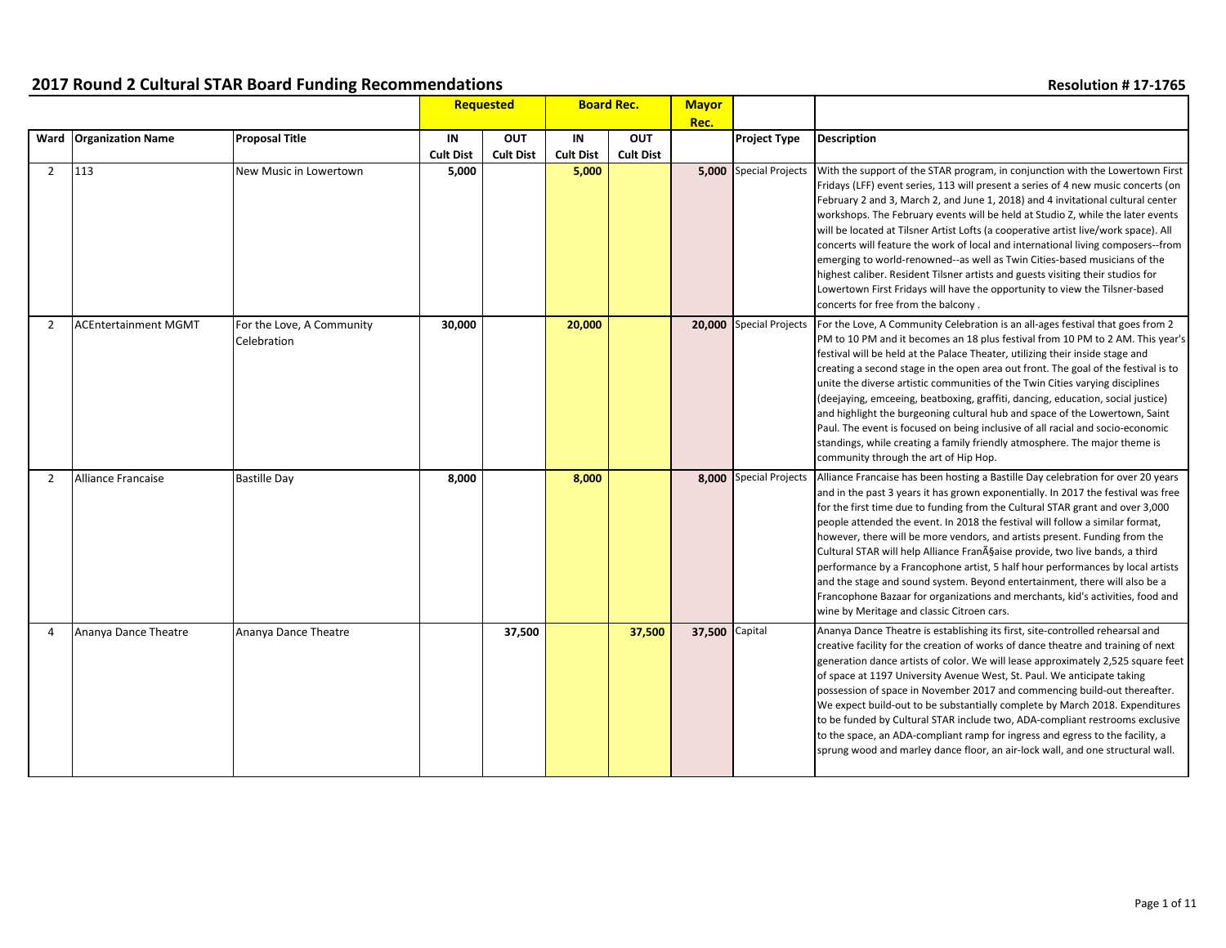|                |                             |                                          |                  | Requested<br><b>Board Rec.</b> |                  | <b>Mayor</b>     |                |                               |                                                                                                                                                                                                                                                                                                                                                                                                                                                                                                                                                                                                                                                                                                                                                                                                           |
|----------------|-----------------------------|------------------------------------------|------------------|--------------------------------|------------------|------------------|----------------|-------------------------------|-----------------------------------------------------------------------------------------------------------------------------------------------------------------------------------------------------------------------------------------------------------------------------------------------------------------------------------------------------------------------------------------------------------------------------------------------------------------------------------------------------------------------------------------------------------------------------------------------------------------------------------------------------------------------------------------------------------------------------------------------------------------------------------------------------------|
|                |                             |                                          |                  |                                |                  |                  | Rec.           |                               |                                                                                                                                                                                                                                                                                                                                                                                                                                                                                                                                                                                                                                                                                                                                                                                                           |
|                | Ward   Organization Name    | <b>Proposal Title</b>                    | IN               | OUT                            | IN               | OUT              |                | <b>Project Type</b>           | <b>Description</b>                                                                                                                                                                                                                                                                                                                                                                                                                                                                                                                                                                                                                                                                                                                                                                                        |
|                |                             |                                          | <b>Cult Dist</b> | <b>Cult Dist</b>               | <b>Cult Dist</b> | <b>Cult Dist</b> |                |                               |                                                                                                                                                                                                                                                                                                                                                                                                                                                                                                                                                                                                                                                                                                                                                                                                           |
| $\overline{2}$ | 113                         | New Music in Lowertown                   | 5,000            |                                | 5,000            |                  |                | <b>5,000</b> Special Projects | With the support of the STAR program, in conjunction with the Lowertown First<br>Fridays (LFF) event series, 113 will present a series of 4 new music concerts (on<br>February 2 and 3, March 2, and June 1, 2018) and 4 invitational cultural center<br>workshops. The February events will be held at Studio Z, while the later events<br>will be located at Tilsner Artist Lofts (a cooperative artist live/work space). All<br>concerts will feature the work of local and international living composers--from<br>emerging to world-renowned--as well as Twin Cities-based musicians of the<br>highest caliber. Resident Tilsner artists and guests visiting their studios for<br>Lowertown First Fridays will have the opportunity to view the Tilsner-based<br>concerts for free from the balcony. |
| $\overline{2}$ | <b>ACEntertainment MGMT</b> | For the Love, A Community<br>Celebration | 30,000           |                                | 20,000           |                  |                | 20,000 Special Projects       | For the Love, A Community Celebration is an all-ages festival that goes from 2<br>PM to 10 PM and it becomes an 18 plus festival from 10 PM to 2 AM. This year's<br>festival will be held at the Palace Theater, utilizing their inside stage and<br>creating a second stage in the open area out front. The goal of the festival is to<br>unite the diverse artistic communities of the Twin Cities varying disciplines<br>(deejaying, emceeing, beatboxing, graffiti, dancing, education, social justice)<br>and highlight the burgeoning cultural hub and space of the Lowertown, Saint<br>Paul. The event is focused on being inclusive of all racial and socio-economic<br>standings, while creating a family friendly atmosphere. The major theme is<br>community through the art of Hip Hop.       |
| $\overline{2}$ | <b>Alliance Francaise</b>   | <b>Bastille Day</b>                      | 8,000            |                                | 8,000            |                  |                | 8.000 Special Projects        | Alliance Francaise has been hosting a Bastille Day celebration for over 20 years<br>and in the past 3 years it has grown exponentially. In 2017 the festival was free<br>for the first time due to funding from the Cultural STAR grant and over 3,000<br>people attended the event. In 2018 the festival will follow a similar format,<br>however, there will be more vendors, and artists present. Funding from the<br>Cultural STAR will help Alliance Française provide, two live bands, a third<br>performance by a Francophone artist, 5 half hour performances by local artists<br>and the stage and sound system. Beyond entertainment, there will also be a<br>Francophone Bazaar for organizations and merchants, kid's activities, food and<br>wine by Meritage and classic Citroen cars.      |
| 4              | Ananya Dance Theatre        | Ananya Dance Theatre                     |                  | 37,500                         |                  | 37,500           | 37,500 Capital |                               | Ananya Dance Theatre is establishing its first, site-controlled rehearsal and<br>creative facility for the creation of works of dance theatre and training of next<br>generation dance artists of color. We will lease approximately 2,525 square feet<br>of space at 1197 University Avenue West, St. Paul. We anticipate taking<br>possession of space in November 2017 and commencing build-out thereafter.<br>We expect build-out to be substantially complete by March 2018. Expenditures<br>to be funded by Cultural STAR include two, ADA-compliant restrooms exclusive<br>to the space, an ADA-compliant ramp for ingress and egress to the facility, a<br>sprung wood and marley dance floor, an air-lock wall, and one structural wall.                                                         |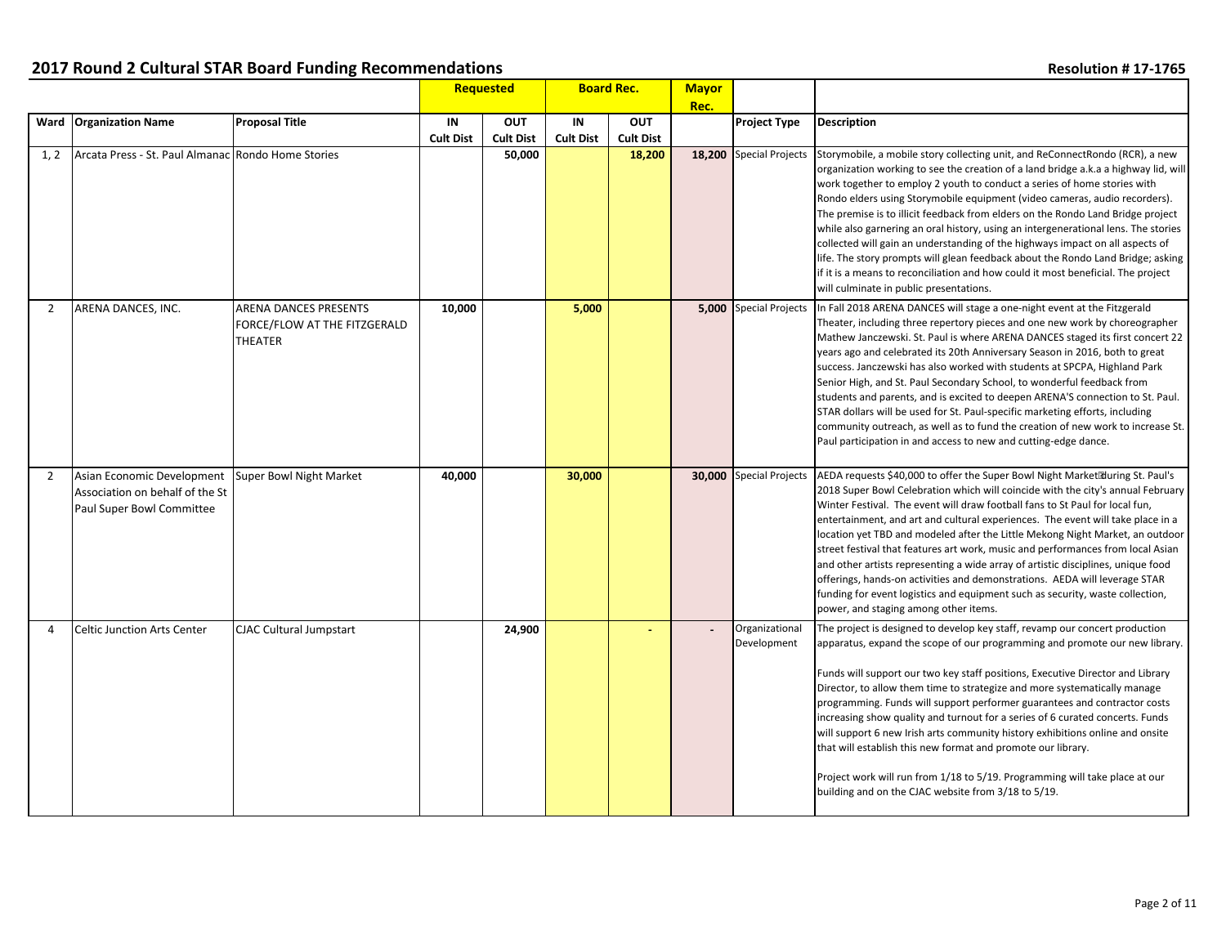|                |                                                                                            |                                                                                |                        | Requested                      | <b>Board Rec.</b>      |                                | <b>Mayor</b> |                               |                                                                                                                                                                                                                                                                                                                                                                                                                                                                                                                                                                                                                                                                                                                                                                                                           |
|----------------|--------------------------------------------------------------------------------------------|--------------------------------------------------------------------------------|------------------------|--------------------------------|------------------------|--------------------------------|--------------|-------------------------------|-----------------------------------------------------------------------------------------------------------------------------------------------------------------------------------------------------------------------------------------------------------------------------------------------------------------------------------------------------------------------------------------------------------------------------------------------------------------------------------------------------------------------------------------------------------------------------------------------------------------------------------------------------------------------------------------------------------------------------------------------------------------------------------------------------------|
|                |                                                                                            |                                                                                |                        |                                |                        |                                | Rec.         |                               |                                                                                                                                                                                                                                                                                                                                                                                                                                                                                                                                                                                                                                                                                                                                                                                                           |
|                | Ward   Organization Name                                                                   | <b>Proposal Title</b>                                                          | IN<br><b>Cult Dist</b> | <b>OUT</b><br><b>Cult Dist</b> | IN<br><b>Cult Dist</b> | <b>OUT</b><br><b>Cult Dist</b> |              | <b>Project Type</b>           | <b>Description</b>                                                                                                                                                                                                                                                                                                                                                                                                                                                                                                                                                                                                                                                                                                                                                                                        |
| 1, 2           | Arcata Press - St. Paul Almanac Rondo Home Stories                                         |                                                                                |                        | 50,000                         |                        | 18,200                         |              | 18,200 Special Projects       | Storymobile, a mobile story collecting unit, and ReConnectRondo (RCR), a new<br>organization working to see the creation of a land bridge a.k.a a highway lid, will<br>work together to employ 2 youth to conduct a series of home stories with<br>Rondo elders using Storymobile equipment (video cameras, audio recorders).<br>The premise is to illicit feedback from elders on the Rondo Land Bridge project<br>while also garnering an oral history, using an intergenerational lens. The stories<br>collected will gain an understanding of the highways impact on all aspects of<br>life. The story prompts will glean feedback about the Rondo Land Bridge; asking<br>if it is a means to reconciliation and how could it most beneficial. The project<br>will culminate in public presentations. |
| $\overline{2}$ | ARENA DANCES, INC.                                                                         | <b>ARENA DANCES PRESENTS</b><br>FORCE/FLOW AT THE FITZGERALD<br><b>THEATER</b> | 10,000                 |                                | 5,000                  |                                |              | <b>5.000</b> Special Projects | In Fall 2018 ARENA DANCES will stage a one-night event at the Fitzgerald<br>Theater, including three repertory pieces and one new work by choreographer<br>Mathew Janczewski. St. Paul is where ARENA DANCES staged its first concert 22<br>years ago and celebrated its 20th Anniversary Season in 2016, both to great<br>success. Janczewski has also worked with students at SPCPA, Highland Park<br>Senior High, and St. Paul Secondary School, to wonderful feedback from<br>students and parents, and is excited to deepen ARENA'S connection to St. Paul.<br>STAR dollars will be used for St. Paul-specific marketing efforts, including<br>community outreach, as well as to fund the creation of new work to increase St.<br>Paul participation in and access to new and cutting-edge dance.    |
| 2              | Asian Economic Development<br>Association on behalf of the St<br>Paul Super Bowl Committee | Super Bowl Night Market                                                        | 40,000                 |                                | 30,000                 |                                |              | 30,000 Special Projects       | AEDA requests \$40,000 to offer the Super Bowl Night Market during St. Paul's<br>2018 Super Bowl Celebration which will coincide with the city's annual February<br>Winter Festival. The event will draw football fans to St Paul for local fun,<br>entertainment, and art and cultural experiences. The event will take place in a<br>location yet TBD and modeled after the Little Mekong Night Market, an outdoor<br>street festival that features art work, music and performances from local Asian<br>and other artists representing a wide array of artistic disciplines, unique food<br>offerings, hands-on activities and demonstrations. AEDA will leverage STAR<br>funding for event logistics and equipment such as security, waste collection,<br>power, and staging among other items.       |
| 4              | <b>Celtic Junction Arts Center</b>                                                         | <b>CJAC Cultural Jumpstart</b>                                                 |                        | 24,900                         |                        |                                |              | Organizational<br>Development | The project is designed to develop key staff, revamp our concert production<br>apparatus, expand the scope of our programming and promote our new library.<br>Funds will support our two key staff positions, Executive Director and Library<br>Director, to allow them time to strategize and more systematically manage<br>programming. Funds will support performer guarantees and contractor costs<br>increasing show quality and turnout for a series of 6 curated concerts. Funds<br>will support 6 new Irish arts community history exhibitions online and onsite<br>that will establish this new format and promote our library.<br>Project work will run from 1/18 to 5/19. Programming will take place at our<br>building and on the CJAC website from 3/18 to 5/19.                            |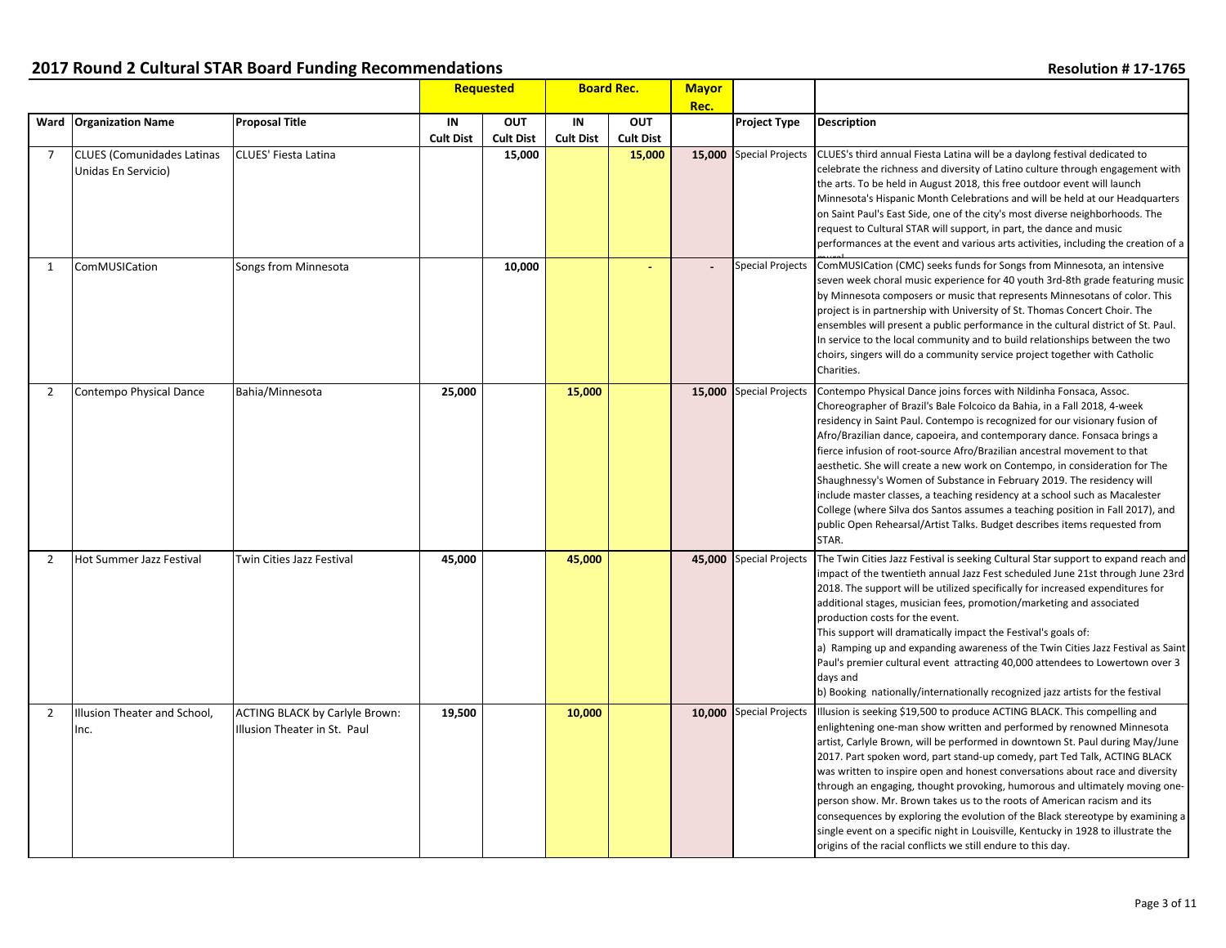|                |                                                          |                                                                       |                        | <b>Requested</b>               | <b>Board Rec.</b>      |                                | <b>Mayor</b> |                         |                                                                                                                                                                                                                                                                                                                                                                                                                                                                                                                                                                                                                                                                                                                                                                                                      |
|----------------|----------------------------------------------------------|-----------------------------------------------------------------------|------------------------|--------------------------------|------------------------|--------------------------------|--------------|-------------------------|------------------------------------------------------------------------------------------------------------------------------------------------------------------------------------------------------------------------------------------------------------------------------------------------------------------------------------------------------------------------------------------------------------------------------------------------------------------------------------------------------------------------------------------------------------------------------------------------------------------------------------------------------------------------------------------------------------------------------------------------------------------------------------------------------|
|                | Ward Organization Name                                   | <b>Proposal Title</b>                                                 | IN<br><b>Cult Dist</b> | <b>OUT</b><br><b>Cult Dist</b> | IN<br><b>Cult Dist</b> | <b>OUT</b><br><b>Cult Dist</b> | Rec.         | <b>Project Type</b>     | <b>Description</b>                                                                                                                                                                                                                                                                                                                                                                                                                                                                                                                                                                                                                                                                                                                                                                                   |
| 7              | <b>CLUES (Comunidades Latinas</b><br>Unidas En Servicio) | CLUES' Fiesta Latina                                                  |                        | 15,000                         |                        | 15,000                         |              | 15,000 Special Projects | CLUES's third annual Fiesta Latina will be a daylong festival dedicated to<br>celebrate the richness and diversity of Latino culture through engagement with<br>the arts. To be held in August 2018, this free outdoor event will launch<br>Minnesota's Hispanic Month Celebrations and will be held at our Headquarters<br>on Saint Paul's East Side, one of the city's most diverse neighborhoods. The<br>request to Cultural STAR will support, in part, the dance and music<br>performances at the event and various arts activities, including the creation of a                                                                                                                                                                                                                                |
| $\mathbf 1$    | ComMUSICation                                            | Songs from Minnesota                                                  |                        | 10,000                         |                        | ÷.                             |              | <b>Special Projects</b> | ComMUSICation (CMC) seeks funds for Songs from Minnesota, an intensive<br>seven week choral music experience for 40 youth 3rd-8th grade featuring music<br>by Minnesota composers or music that represents Minnesotans of color. This<br>project is in partnership with University of St. Thomas Concert Choir. The<br>ensembles will present a public performance in the cultural district of St. Paul.<br>In service to the local community and to build relationships between the two<br>choirs, singers will do a community service project together with Catholic<br>Charities.                                                                                                                                                                                                                 |
| 2              | Contempo Physical Dance                                  | Bahia/Minnesota                                                       | 25,000                 |                                | 15,000                 |                                |              | 15,000 Special Projects | Contempo Physical Dance joins forces with Nildinha Fonsaca, Assoc.<br>Choreographer of Brazil's Bale Folcoico da Bahia, in a Fall 2018, 4-week<br>residency in Saint Paul. Contempo is recognized for our visionary fusion of<br>Afro/Brazilian dance, capoeira, and contemporary dance. Fonsaca brings a<br>fierce infusion of root-source Afro/Brazilian ancestral movement to that<br>aesthetic. She will create a new work on Contempo, in consideration for The<br>Shaughnessy's Women of Substance in February 2019. The residency will<br>include master classes, a teaching residency at a school such as Macalester<br>College (where Silva dos Santos assumes a teaching position in Fall 2017), and<br>public Open Rehearsal/Artist Talks. Budget describes items requested from<br>STAR. |
| $\overline{2}$ | Hot Summer Jazz Festival                                 | Twin Cities Jazz Festival                                             | 45,000                 |                                | 45,000                 |                                |              | 45,000 Special Projects | The Twin Cities Jazz Festival is seeking Cultural Star support to expand reach and<br>impact of the twentieth annual Jazz Fest scheduled June 21st through June 23rd<br>2018. The support will be utilized specifically for increased expenditures for<br>additional stages, musician fees, promotion/marketing and associated<br>production costs for the event.<br>This support will dramatically impact the Festival's goals of:<br>a) Ramping up and expanding awareness of the Twin Cities Jazz Festival as Saint<br>Paul's premier cultural event attracting 40,000 attendees to Lowertown over 3<br>days and<br>b) Booking nationally/internationally recognized jazz artists for the festival                                                                                                |
| 2              | Illusion Theater and School,<br>Inc.                     | <b>ACTING BLACK by Carlyle Brown:</b><br>Illusion Theater in St. Paul | 19,500                 |                                | 10,000                 |                                |              | 10,000 Special Projects | Illusion is seeking \$19,500 to produce ACTING BLACK. This compelling and<br>enlightening one-man show written and performed by renowned Minnesota<br>artist, Carlyle Brown, will be performed in downtown St. Paul during May/June<br>2017. Part spoken word, part stand-up comedy, part Ted Talk, ACTING BLACK<br>was written to inspire open and honest conversations about race and diversity<br>through an engaging, thought provoking, humorous and ultimately moving one-<br>person show. Mr. Brown takes us to the roots of American racism and its<br>consequences by exploring the evolution of the Black stereotype by examining a<br>single event on a specific night in Louisville, Kentucky in 1928 to illustrate the<br>origins of the racial conflicts we still endure to this day.  |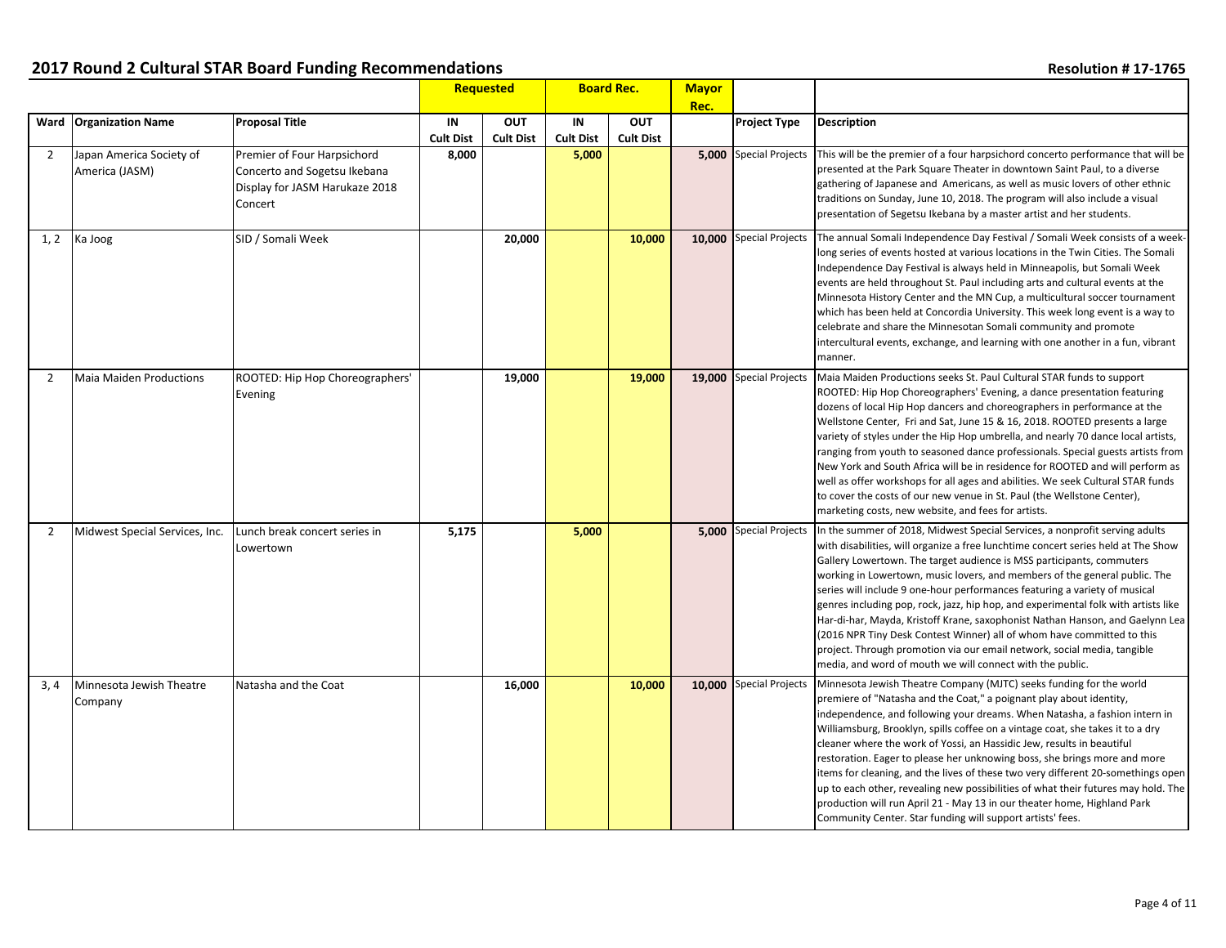|                |                                            |                                                                                                          |                           | <b>Requested</b> | <b>Board Rec.</b>         |                  | <b>Mayor</b><br>Rec. |                               |                                                                                                                                                                                                                                                                                                                                                                                                                                                                                                                                                                                                                                                                                                                                                                                                 |
|----------------|--------------------------------------------|----------------------------------------------------------------------------------------------------------|---------------------------|------------------|---------------------------|------------------|----------------------|-------------------------------|-------------------------------------------------------------------------------------------------------------------------------------------------------------------------------------------------------------------------------------------------------------------------------------------------------------------------------------------------------------------------------------------------------------------------------------------------------------------------------------------------------------------------------------------------------------------------------------------------------------------------------------------------------------------------------------------------------------------------------------------------------------------------------------------------|
|                | Ward   Organization Name                   | <b>Proposal Title</b>                                                                                    | IN                        | <b>OUT</b>       | IN                        | <b>OUT</b>       |                      | <b>Project Type</b>           | <b>Description</b>                                                                                                                                                                                                                                                                                                                                                                                                                                                                                                                                                                                                                                                                                                                                                                              |
| $\overline{2}$ | Japan America Society of<br>America (JASM) | Premier of Four Harpsichord<br>Concerto and Sogetsu Ikebana<br>Display for JASM Harukaze 2018<br>Concert | <b>Cult Dist</b><br>8,000 | <b>Cult Dist</b> | <b>Cult Dist</b><br>5,000 | <b>Cult Dist</b> |                      | <b>5.000</b> Special Projects | This will be the premier of a four harpsichord concerto performance that will be<br>presented at the Park Square Theater in downtown Saint Paul, to a diverse<br>gathering of Japanese and Americans, as well as music lovers of other ethnic<br>traditions on Sunday, June 10, 2018. The program will also include a visual<br>presentation of Segetsu Ikebana by a master artist and her students.                                                                                                                                                                                                                                                                                                                                                                                            |
| 1, 2           | Ka Joog                                    | SID / Somali Week                                                                                        |                           | 20,000           |                           | 10,000           |                      | 10.000 Special Projects       | The annual Somali Independence Day Festival / Somali Week consists of a week-<br>long series of events hosted at various locations in the Twin Cities. The Somali<br>Independence Day Festival is always held in Minneapolis, but Somali Week<br>events are held throughout St. Paul including arts and cultural events at the<br>Minnesota History Center and the MN Cup, a multicultural soccer tournament<br>which has been held at Concordia University. This week long event is a way to<br>celebrate and share the Minnesotan Somali community and promote<br>intercultural events, exchange, and learning with one another in a fun, vibrant<br>manner.                                                                                                                                  |
| 2              | <b>Maia Maiden Productions</b>             | ROOTED: Hip Hop Choreographers'<br>Evening                                                               |                           | 19,000           |                           | 19,000           |                      | 19,000 Special Projects       | Maia Maiden Productions seeks St. Paul Cultural STAR funds to support<br>ROOTED: Hip Hop Choreographers' Evening, a dance presentation featuring<br>dozens of local Hip Hop dancers and choreographers in performance at the<br>Wellstone Center, Fri and Sat, June 15 & 16, 2018. ROOTED presents a large<br>variety of styles under the Hip Hop umbrella, and nearly 70 dance local artists,<br>ranging from youth to seasoned dance professionals. Special guests artists from<br>New York and South Africa will be in residence for ROOTED and will perform as<br>well as offer workshops for all ages and abilities. We seek Cultural STAR funds<br>to cover the costs of our new venue in St. Paul (the Wellstone Center),<br>marketing costs, new website, and fees for artists.         |
| 2              | Midwest Special Services, Inc.             | Lunch break concert series in<br>Lowertown                                                               | 5,175                     |                  | 5,000                     |                  |                      | <b>5,000</b> Special Projects | In the summer of 2018, Midwest Special Services, a nonprofit serving adults<br>with disabilities, will organize a free lunchtime concert series held at The Show<br>Gallery Lowertown. The target audience is MSS participants, commuters<br>working in Lowertown, music lovers, and members of the general public. The<br>series will include 9 one-hour performances featuring a variety of musical<br>genres including pop, rock, jazz, hip hop, and experimental folk with artists like<br>Har-di-har, Mayda, Kristoff Krane, saxophonist Nathan Hanson, and Gaelynn Lea<br>(2016 NPR Tiny Desk Contest Winner) all of whom have committed to this<br>project. Through promotion via our email network, social media, tangible<br>media, and word of mouth we will connect with the public. |
| 3.4            | Minnesota Jewish Theatre<br>Company        | Natasha and the Coat                                                                                     |                           | 16,000           |                           | 10,000           |                      | 10,000 Special Projects       | Minnesota Jewish Theatre Company (MJTC) seeks funding for the world<br>premiere of "Natasha and the Coat," a poignant play about identity,<br>independence, and following your dreams. When Natasha, a fashion intern in<br>Williamsburg, Brooklyn, spills coffee on a vintage coat, she takes it to a dry<br>cleaner where the work of Yossi, an Hassidic Jew, results in beautiful<br>restoration. Eager to please her unknowing boss, she brings more and more<br>items for cleaning, and the lives of these two very different 20-somethings open<br>up to each other, revealing new possibilities of what their futures may hold. The<br>production will run April 21 - May 13 in our theater home, Highland Park<br>Community Center. Star funding will support artists' fees.            |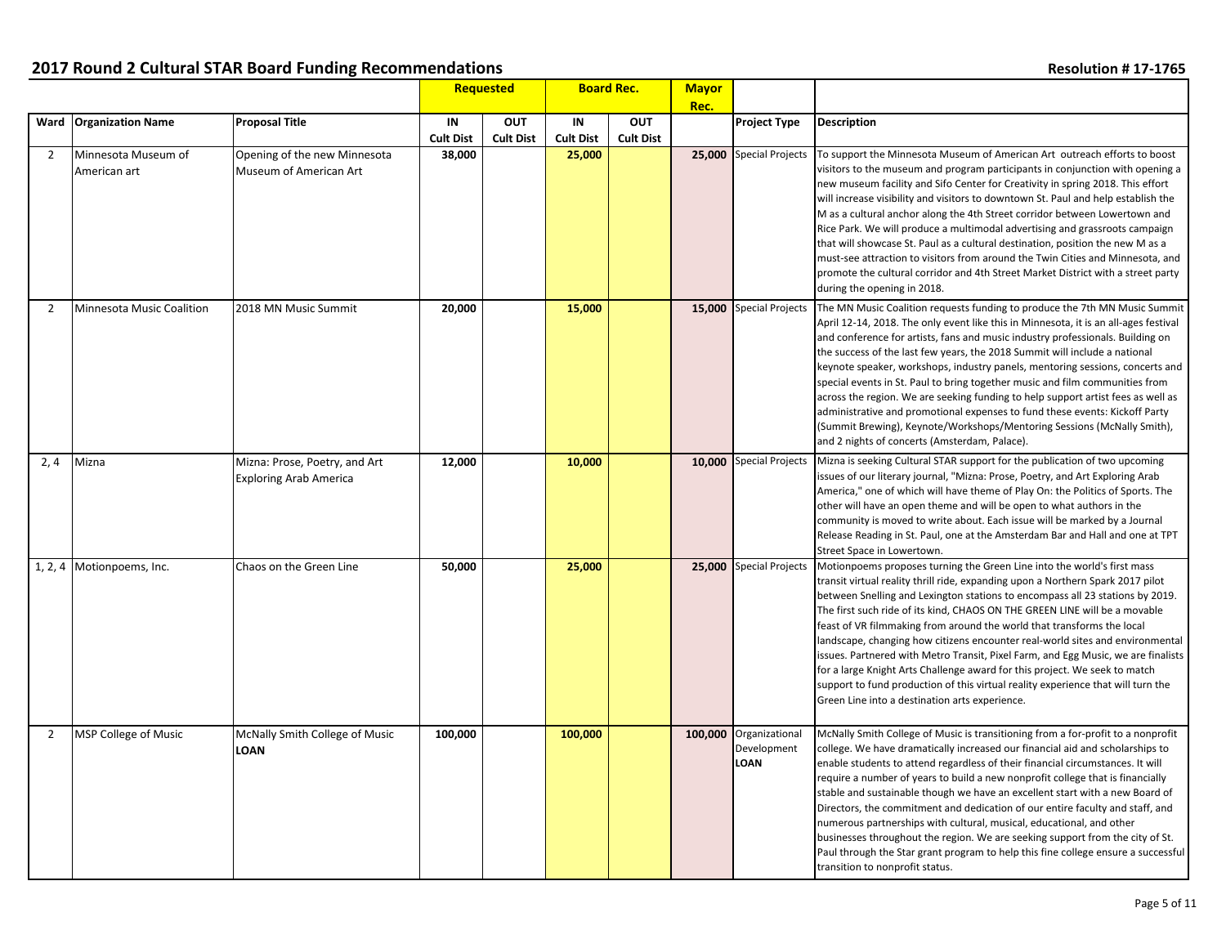|                |                                     |                                                                |                        | <b>Requested</b><br><b>Board Rec.</b> |                        |                                | <b>Mayor</b> |                                                      |                                                                                                                                                                                                                                                                                                                                                                                                                                                                                                                                                                                                                                                                                                                                                                                                    |
|----------------|-------------------------------------|----------------------------------------------------------------|------------------------|---------------------------------------|------------------------|--------------------------------|--------------|------------------------------------------------------|----------------------------------------------------------------------------------------------------------------------------------------------------------------------------------------------------------------------------------------------------------------------------------------------------------------------------------------------------------------------------------------------------------------------------------------------------------------------------------------------------------------------------------------------------------------------------------------------------------------------------------------------------------------------------------------------------------------------------------------------------------------------------------------------------|
|                | Ward   Organization Name            | <b>Proposal Title</b>                                          | IN<br><b>Cult Dist</b> | <b>OUT</b><br><b>Cult Dist</b>        | IN<br><b>Cult Dist</b> | <b>OUT</b><br><b>Cult Dist</b> | Rec.         | <b>Project Type</b>                                  | <b>Description</b>                                                                                                                                                                                                                                                                                                                                                                                                                                                                                                                                                                                                                                                                                                                                                                                 |
| 2              | Minnesota Museum of<br>American art | Opening of the new Minnesota<br>Museum of American Art         | 38,000                 |                                       | 25,000                 |                                |              | 25,000 Special Projects                              | To support the Minnesota Museum of American Art outreach efforts to boost<br>visitors to the museum and program participants in conjunction with opening a<br>new museum facility and Sifo Center for Creativity in spring 2018. This effort<br>will increase visibility and visitors to downtown St. Paul and help establish the<br>M as a cultural anchor along the 4th Street corridor between Lowertown and<br>Rice Park. We will produce a multimodal advertising and grassroots campaign<br>that will showcase St. Paul as a cultural destination, position the new M as a<br>must-see attraction to visitors from around the Twin Cities and Minnesota, and<br>promote the cultural corridor and 4th Street Market District with a street party<br>during the opening in 2018.              |
| $\overline{2}$ | Minnesota Music Coalition           | 2018 MN Music Summit                                           | 20,000                 |                                       | 15,000                 |                                |              | 15,000 Special Projects                              | The MN Music Coalition requests funding to produce the 7th MN Music Summit<br>April 12-14, 2018. The only event like this in Minnesota, it is an all-ages festival<br>and conference for artists, fans and music industry professionals. Building on<br>the success of the last few years, the 2018 Summit will include a national<br>keynote speaker, workshops, industry panels, mentoring sessions, concerts and<br>special events in St. Paul to bring together music and film communities from<br>across the region. We are seeking funding to help support artist fees as well as<br>administrative and promotional expenses to fund these events: Kickoff Party<br>(Summit Brewing), Keynote/Workshops/Mentoring Sessions (McNally Smith),<br>and 2 nights of concerts (Amsterdam, Palace). |
| 2, 4           | Mizna                               | Mizna: Prose, Poetry, and Art<br><b>Exploring Arab America</b> | 12,000                 |                                       | 10,000                 |                                |              | 10,000 Special Projects                              | Mizna is seeking Cultural STAR support for the publication of two upcoming<br>issues of our literary journal, "Mizna: Prose, Poetry, and Art Exploring Arab<br>America," one of which will have theme of Play On: the Politics of Sports. The<br>other will have an open theme and will be open to what authors in the<br>community is moved to write about. Each issue will be marked by a Journal<br>Release Reading in St. Paul, one at the Amsterdam Bar and Hall and one at TPT<br>Street Space in Lowertown.                                                                                                                                                                                                                                                                                 |
|                | 1, 2, 4 Motionpoems, Inc.           | Chaos on the Green Line                                        | 50,000                 |                                       | 25,000                 |                                |              | 25,000 Special Projects                              | Motionpoems proposes turning the Green Line into the world's first mass<br>transit virtual reality thrill ride, expanding upon a Northern Spark 2017 pilot<br>between Snelling and Lexington stations to encompass all 23 stations by 2019.<br>The first such ride of its kind, CHAOS ON THE GREEN LINE will be a movable<br>feast of VR filmmaking from around the world that transforms the local<br>landscape, changing how citizens encounter real-world sites and environmental<br>issues. Partnered with Metro Transit, Pixel Farm, and Egg Music, we are finalists<br>for a large Knight Arts Challenge award for this project. We seek to match<br>support to fund production of this virtual reality experience that will turn the<br>Green Line into a destination arts experience.      |
| $\overline{2}$ | MSP College of Music                | McNally Smith College of Music<br><b>LOAN</b>                  | 100,000                |                                       | 100,000                |                                |              | 100,000 Organizational<br>Development<br><b>LOAN</b> | McNally Smith College of Music is transitioning from a for-profit to a nonprofit<br>college. We have dramatically increased our financial aid and scholarships to<br>enable students to attend regardless of their financial circumstances. It will<br>require a number of years to build a new nonprofit college that is financially<br>stable and sustainable though we have an excellent start with a new Board of<br>Directors, the commitment and dedication of our entire faculty and staff, and<br>numerous partnerships with cultural, musical, educational, and other<br>businesses throughout the region. We are seeking support from the city of St.<br>Paul through the Star grant program to help this fine college ensure a successful<br>transition to nonprofit status.            |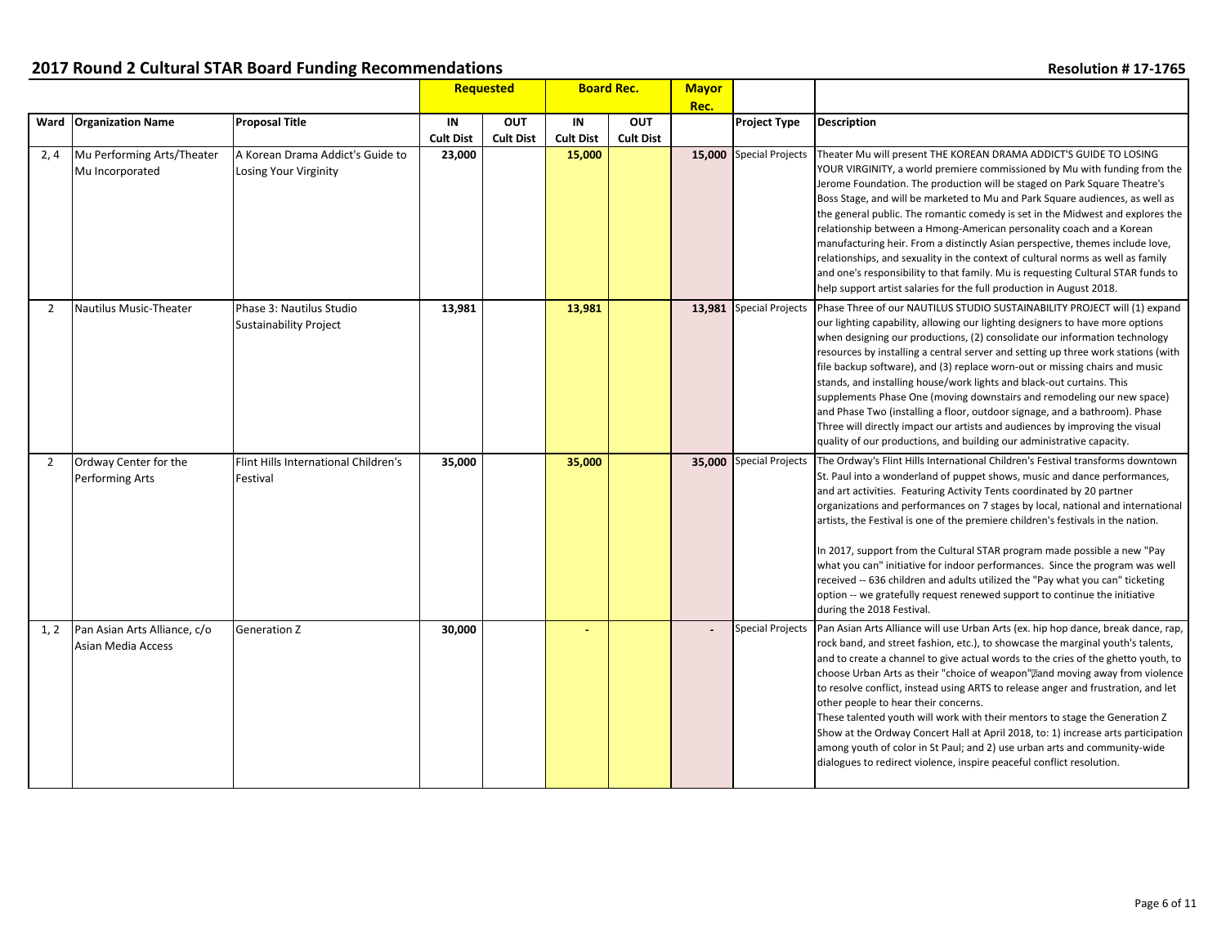|                |                                                    |                                                           |                        | Requested                      | <b>Board Rec.</b>      |                                | <b>Mayor</b> |                         |                                                                                                                                                                                                                                                                                                                                                                                                                                                                                                                                                                                                                                                                                                                                                                                                        |
|----------------|----------------------------------------------------|-----------------------------------------------------------|------------------------|--------------------------------|------------------------|--------------------------------|--------------|-------------------------|--------------------------------------------------------------------------------------------------------------------------------------------------------------------------------------------------------------------------------------------------------------------------------------------------------------------------------------------------------------------------------------------------------------------------------------------------------------------------------------------------------------------------------------------------------------------------------------------------------------------------------------------------------------------------------------------------------------------------------------------------------------------------------------------------------|
|                | Ward Organization Name                             | Proposal Title                                            | IN<br><b>Cult Dist</b> | <b>OUT</b><br><b>Cult Dist</b> | IN<br><b>Cult Dist</b> | <b>OUT</b><br><b>Cult Dist</b> | Rec.         | <b>Project Type</b>     | <b>Description</b>                                                                                                                                                                                                                                                                                                                                                                                                                                                                                                                                                                                                                                                                                                                                                                                     |
| 2,4            | Mu Performing Arts/Theater<br>Mu Incorporated      | A Korean Drama Addict's Guide to<br>Losing Your Virginity | 23,000                 |                                | 15,000                 |                                |              | 15,000 Special Projects | Theater Mu will present THE KOREAN DRAMA ADDICT'S GUIDE TO LOSING<br>YOUR VIRGINITY, a world premiere commissioned by Mu with funding from the<br>Jerome Foundation. The production will be staged on Park Square Theatre's<br>Boss Stage, and will be marketed to Mu and Park Square audiences, as well as<br>the general public. The romantic comedy is set in the Midwest and explores the<br>relationship between a Hmong-American personality coach and a Korean<br>manufacturing heir. From a distinctly Asian perspective, themes include love,<br>relationships, and sexuality in the context of cultural norms as well as family<br>and one's responsibility to that family. Mu is requesting Cultural STAR funds to<br>help support artist salaries for the full production in August 2018.  |
| 2              | <b>Nautilus Music-Theater</b>                      | Phase 3: Nautilus Studio<br><b>Sustainability Project</b> | 13,981                 |                                | 13,981                 |                                |              | 13,981 Special Projects | Phase Three of our NAUTILUS STUDIO SUSTAINABILITY PROJECT will (1) expand<br>our lighting capability, allowing our lighting designers to have more options<br>when designing our productions, (2) consolidate our information technology<br>resources by installing a central server and setting up three work stations (with<br>file backup software), and (3) replace worn-out or missing chairs and music<br>stands, and installing house/work lights and black-out curtains. This<br>supplements Phase One (moving downstairs and remodeling our new space)<br>and Phase Two (installing a floor, outdoor signage, and a bathroom). Phase<br>Three will directly impact our artists and audiences by improving the visual<br>quality of our productions, and building our administrative capacity. |
| $\overline{2}$ | Ordway Center for the<br><b>Performing Arts</b>    | Flint Hills International Children's<br>Festival          | 35,000                 |                                | 35,000                 |                                |              | 35,000 Special Projects | The Ordway's Flint Hills International Children's Festival transforms downtown<br>St. Paul into a wonderland of puppet shows, music and dance performances,<br>and art activities. Featuring Activity Tents coordinated by 20 partner<br>organizations and performances on 7 stages by local, national and international<br>artists, the Festival is one of the premiere children's festivals in the nation.<br>In 2017, support from the Cultural STAR program made possible a new "Pay<br>what you can" initiative for indoor performances. Since the program was well<br>received -- 636 children and adults utilized the "Pay what you can" ticketing<br>option -- we gratefully request renewed support to continue the initiative<br>during the 2018 Festival.                                   |
| 1, 2           | Pan Asian Arts Alliance, c/o<br>Asian Media Access | Generation Z                                              | 30,000                 |                                |                        |                                |              | <b>Special Projects</b> | Pan Asian Arts Alliance will use Urban Arts (ex. hip hop dance, break dance, rap,<br>rock band, and street fashion, etc.), to showcase the marginal youth's talents,<br>and to create a channel to give actual words to the cries of the ghetto youth, to<br>choose Urban Arts as their "choice of weapon", and moving away from violence<br>to resolve conflict, instead using ARTS to release anger and frustration, and let<br>other people to hear their concerns.<br>These talented youth will work with their mentors to stage the Generation Z<br>Show at the Ordway Concert Hall at April 2018, to: 1) increase arts participation<br>among youth of color in St Paul; and 2) use urban arts and community-wide<br>dialogues to redirect violence, inspire peaceful conflict resolution.       |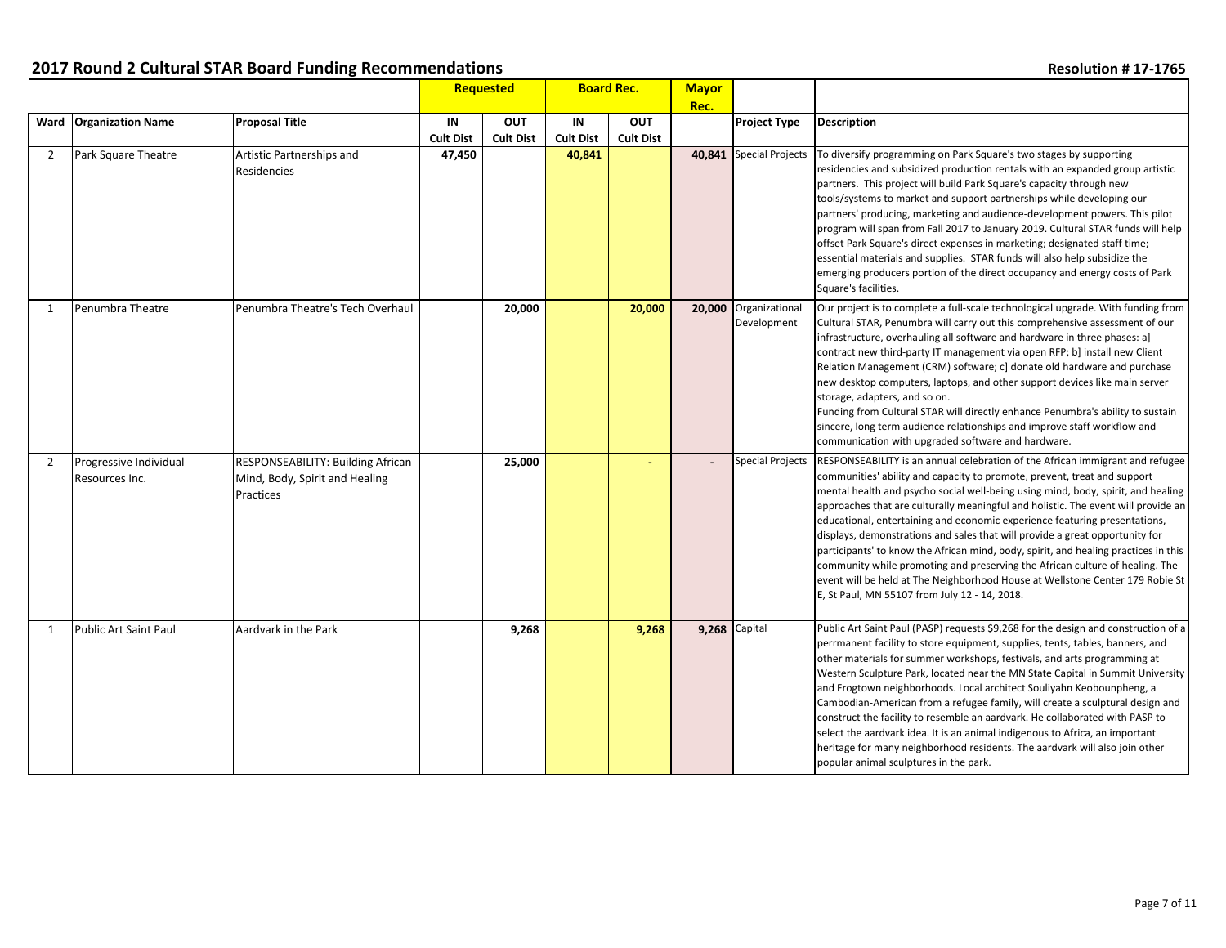|                |                                          |                                                                                         |                        | Requested                      | <b>Board Rec.</b>      |                                | <b>Mayor</b><br>Rec. |                                      |                                                                                                                                                                                                                                                                                                                                                                                                                                                                                                                                                                                                                                                                                                                                                                                                           |
|----------------|------------------------------------------|-----------------------------------------------------------------------------------------|------------------------|--------------------------------|------------------------|--------------------------------|----------------------|--------------------------------------|-----------------------------------------------------------------------------------------------------------------------------------------------------------------------------------------------------------------------------------------------------------------------------------------------------------------------------------------------------------------------------------------------------------------------------------------------------------------------------------------------------------------------------------------------------------------------------------------------------------------------------------------------------------------------------------------------------------------------------------------------------------------------------------------------------------|
|                | Ward   Organization Name                 | <b>Proposal Title</b>                                                                   | IN<br><b>Cult Dist</b> | <b>OUT</b><br><b>Cult Dist</b> | IN<br><b>Cult Dist</b> | <b>OUT</b><br><b>Cult Dist</b> |                      | <b>Project Type</b>                  | <b>Description</b>                                                                                                                                                                                                                                                                                                                                                                                                                                                                                                                                                                                                                                                                                                                                                                                        |
| $\overline{2}$ | Park Square Theatre                      | Artistic Partnerships and<br>Residencies                                                | 47,450                 |                                | 40,841                 |                                |                      | 40,841 Special Projects              | To diversify programming on Park Square's two stages by supporting<br>residencies and subsidized production rentals with an expanded group artistic<br>partners. This project will build Park Square's capacity through new<br>tools/systems to market and support partnerships while developing our<br>partners' producing, marketing and audience-development powers. This pilot<br>program will span from Fall 2017 to January 2019. Cultural STAR funds will help<br>offset Park Square's direct expenses in marketing; designated staff time;<br>essential materials and supplies. STAR funds will also help subsidize the<br>emerging producers portion of the direct occupancy and energy costs of Park<br>Square's facilities.                                                                    |
| 1              | Penumbra Theatre                         | l Penumbra Theatre's Tech Overhaul                                                      |                        | 20,000                         |                        | 20,000                         |                      | 20,000 Organizational<br>Development | Our project is to complete a full-scale technological upgrade. With funding from<br>Cultural STAR, Penumbra will carry out this comprehensive assessment of our<br>infrastructure, overhauling all software and hardware in three phases: a]<br>contract new third-party IT management via open RFP; b] install new Client<br>Relation Management (CRM) software; c] donate old hardware and purchase<br>new desktop computers, laptops, and other support devices like main server<br>storage, adapters, and so on.<br>Funding from Cultural STAR will directly enhance Penumbra's ability to sustain<br>sincere, long term audience relationships and improve staff workflow and<br>communication with upgraded software and hardware.                                                                  |
| 2              | Progressive Individual<br>Resources Inc. | <b>RESPONSEABILITY: Building African</b><br>Mind, Body, Spirit and Healing<br>Practices |                        | 25,000                         |                        | ٠                              |                      | <b>Special Projects</b>              | RESPONSEABILITY is an annual celebration of the African immigrant and refugee<br>communities' ability and capacity to promote, prevent, treat and support<br>mental health and psycho social well-being using mind, body, spirit, and healing<br>approaches that are culturally meaningful and holistic. The event will provide an<br>educational, entertaining and economic experience featuring presentations,<br>displays, demonstrations and sales that will provide a great opportunity for<br>participants' to know the African mind, body, spirit, and healing practices in this<br>community while promoting and preserving the African culture of healing. The<br>event will be held at The Neighborhood House at Wellstone Center 179 Robie St<br>E, St Paul, MN 55107 from July 12 - 14, 2018. |
| $\mathbf{1}$   | <b>Public Art Saint Paul</b>             | Aardvark in the Park                                                                    |                        | 9,268                          |                        | 9,268                          | <b>9,268</b> Capital |                                      | Public Art Saint Paul (PASP) requests \$9,268 for the design and construction of a<br>perrmanent facility to store equipment, supplies, tents, tables, banners, and<br>other materials for summer workshops, festivals, and arts programming at<br>Western Sculpture Park, located near the MN State Capital in Summit University<br>and Frogtown neighborhoods. Local architect Souliyahn Keobounpheng, a<br>Cambodian-American from a refugee family, will create a sculptural design and<br>construct the facility to resemble an aardvark. He collaborated with PASP to<br>select the aardvark idea. It is an animal indigenous to Africa, an important<br>heritage for many neighborhood residents. The aardvark will also join other<br>popular animal sculptures in the park.                      |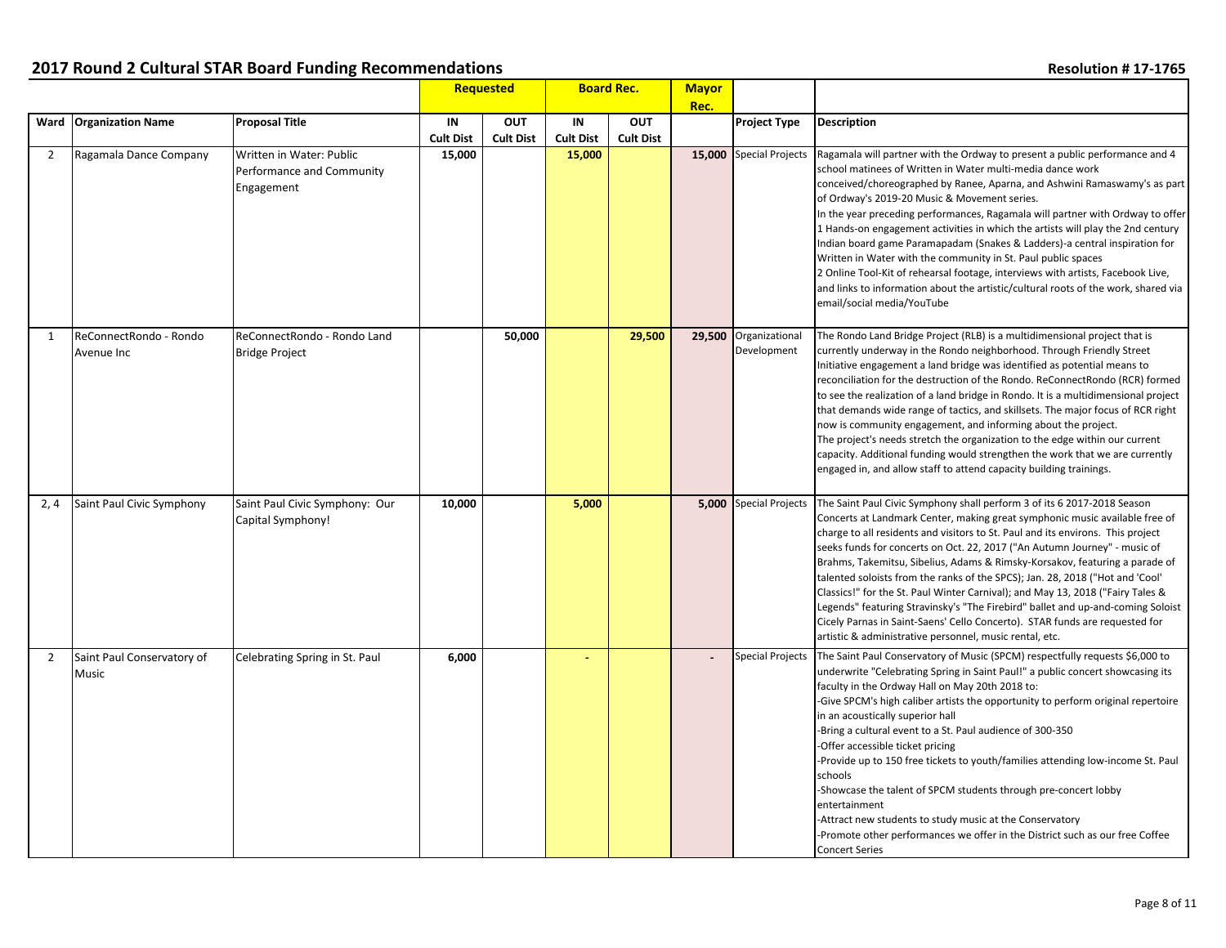|                |                                      |                                                                     |                        | <b>Requested</b>               | <b>Board Rec.</b>      |                                | <b>Mayor</b> |                                      |                                                                                                                                                                                                                                                                                                                                                                                                                                                                                                                                                                                                                                                                                                                                                                                                       |
|----------------|--------------------------------------|---------------------------------------------------------------------|------------------------|--------------------------------|------------------------|--------------------------------|--------------|--------------------------------------|-------------------------------------------------------------------------------------------------------------------------------------------------------------------------------------------------------------------------------------------------------------------------------------------------------------------------------------------------------------------------------------------------------------------------------------------------------------------------------------------------------------------------------------------------------------------------------------------------------------------------------------------------------------------------------------------------------------------------------------------------------------------------------------------------------|
|                | Ward Organization Name               | <b>Proposal Title</b>                                               | IN<br><b>Cult Dist</b> | <b>OUT</b><br><b>Cult Dist</b> | IN<br><b>Cult Dist</b> | <b>OUT</b><br><b>Cult Dist</b> | Rec.         | <b>Project Type</b>                  | <b>Description</b>                                                                                                                                                                                                                                                                                                                                                                                                                                                                                                                                                                                                                                                                                                                                                                                    |
| $\overline{2}$ | Ragamala Dance Company               | Written in Water: Public<br>Performance and Community<br>Engagement | 15,000                 |                                | 15,000                 |                                |              | 15,000 Special Projects              | Ragamala will partner with the Ordway to present a public performance and 4<br>school matinees of Written in Water multi-media dance work<br>conceived/choreographed by Ranee, Aparna, and Ashwini Ramaswamy's as part<br>of Ordway's 2019-20 Music & Movement series.<br>In the year preceding performances, Ragamala will partner with Ordway to offer<br>1 Hands-on engagement activities in which the artists will play the 2nd century<br>Indian board game Paramapadam (Snakes & Ladders)-a central inspiration for<br>Written in Water with the community in St. Paul public spaces<br>2 Online Tool-Kit of rehearsal footage, interviews with artists, Facebook Live,<br>and links to information about the artistic/cultural roots of the work, shared via<br>email/social media/YouTube     |
| 1              | ReConnectRondo - Rondo<br>Avenue Inc | ReConnectRondo - Rondo Land<br><b>Bridge Project</b>                |                        | 50,000                         |                        | 29,500                         |              | 29,500 Organizational<br>Development | The Rondo Land Bridge Project (RLB) is a multidimensional project that is<br>currently underway in the Rondo neighborhood. Through Friendly Street<br>Initiative engagement a land bridge was identified as potential means to<br>reconciliation for the destruction of the Rondo. ReConnectRondo (RCR) formed<br>to see the realization of a land bridge in Rondo. It is a multidimensional project<br>that demands wide range of tactics, and skillsets. The major focus of RCR right<br>now is community engagement, and informing about the project.<br>The project's needs stretch the organization to the edge within our current<br>capacity. Additional funding would strengthen the work that we are currently<br>engaged in, and allow staff to attend capacity building trainings.         |
| 2,4            | Saint Paul Civic Symphony            | Saint Paul Civic Symphony: Our<br>Capital Symphony!                 | 10,000                 |                                | 5,000                  |                                |              | 5,000 Special Projects               | The Saint Paul Civic Symphony shall perform 3 of its 6 2017-2018 Season<br>Concerts at Landmark Center, making great symphonic music available free of<br>charge to all residents and visitors to St. Paul and its environs. This project<br>seeks funds for concerts on Oct. 22, 2017 ("An Autumn Journey" - music of<br>Brahms, Takemitsu, Sibelius, Adams & Rimsky-Korsakov, featuring a parade of<br>talented soloists from the ranks of the SPCS); Jan. 28, 2018 ("Hot and 'Cool'<br>Classics!" for the St. Paul Winter Carnival); and May 13, 2018 ("Fairy Tales &<br>Legends" featuring Stravinsky's "The Firebird" ballet and up-and-coming Soloist<br>Cicely Parnas in Saint-Saens' Cello Concerto). STAR funds are requested for<br>artistic & administrative personnel, music rental, etc. |
| $\overline{2}$ | Saint Paul Conservatory of<br>Music  | Celebrating Spring in St. Paul                                      | 6,000                  |                                |                        |                                |              | <b>Special Projects</b>              | The Saint Paul Conservatory of Music (SPCM) respectfully requests \$6,000 to<br>underwrite "Celebrating Spring in Saint Paul!" a public concert showcasing its<br>faculty in the Ordway Hall on May 20th 2018 to:<br>-Give SPCM's high caliber artists the opportunity to perform original repertoire<br>in an acoustically superior hall<br>-Bring a cultural event to a St. Paul audience of 300-350<br>-Offer accessible ticket pricing<br>-Provide up to 150 free tickets to youth/families attending low-income St. Paul<br>schools<br>-Showcase the talent of SPCM students through pre-concert lobby<br>entertainment<br>-Attract new students to study music at the Conservatory<br>-Promote other performances we offer in the District such as our free Coffee<br><b>Concert Series</b>     |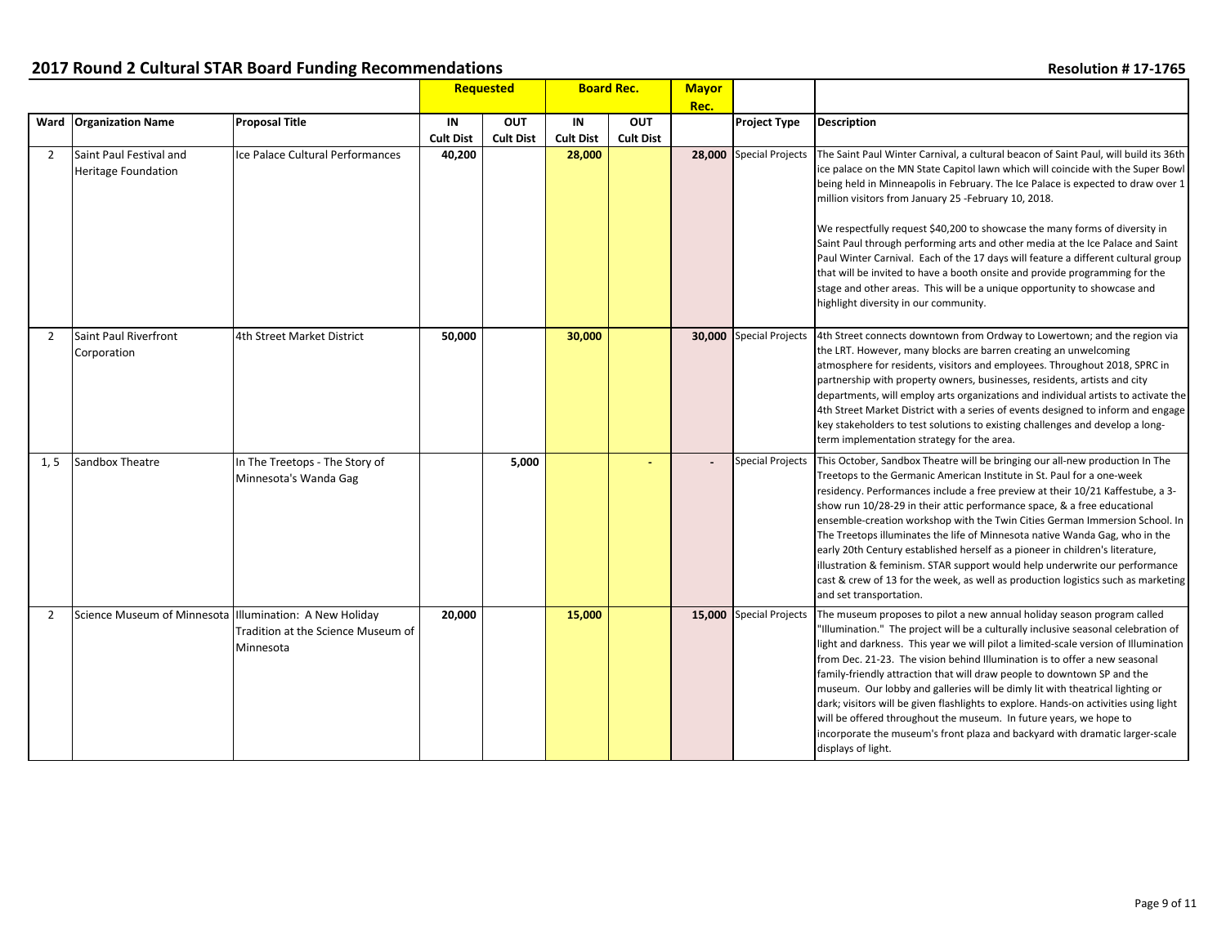|                |                                                         |                                                         |                        | Requested                      |                        |                         | <b>Board Rec.</b> |                         | <b>Mayor</b><br>Rec.                                                                                                                                                                                                                                                                                                                                                                                                                                                                                                                                                                                                                                                                                                                                                          |  |  |
|----------------|---------------------------------------------------------|---------------------------------------------------------|------------------------|--------------------------------|------------------------|-------------------------|-------------------|-------------------------|-------------------------------------------------------------------------------------------------------------------------------------------------------------------------------------------------------------------------------------------------------------------------------------------------------------------------------------------------------------------------------------------------------------------------------------------------------------------------------------------------------------------------------------------------------------------------------------------------------------------------------------------------------------------------------------------------------------------------------------------------------------------------------|--|--|
|                | Ward Organization Name                                  | <b>Proposal Title</b>                                   | IN<br><b>Cult Dist</b> | <b>OUT</b><br><b>Cult Dist</b> | IN<br><b>Cult Dist</b> | OUT<br><b>Cult Dist</b> |                   | <b>Project Type</b>     | <b>Description</b>                                                                                                                                                                                                                                                                                                                                                                                                                                                                                                                                                                                                                                                                                                                                                            |  |  |
| $\overline{2}$ | Saint Paul Festival and<br><b>Heritage Foundation</b>   | Ice Palace Cultural Performances                        | 40,200                 |                                | 28,000                 |                         |                   | 28,000 Special Projects | The Saint Paul Winter Carnival, a cultural beacon of Saint Paul, will build its 36th<br>ice palace on the MN State Capitol lawn which will coincide with the Super Bowl<br>being held in Minneapolis in February. The Ice Palace is expected to draw over 1<br>million visitors from January 25 -February 10, 2018.<br>We respectfully request \$40,200 to showcase the many forms of diversity in<br>Saint Paul through performing arts and other media at the Ice Palace and Saint<br>Paul Winter Carnival. Each of the 17 days will feature a different cultural group<br>that will be invited to have a booth onsite and provide programming for the<br>stage and other areas. This will be a unique opportunity to showcase and<br>highlight diversity in our community. |  |  |
| $\overline{2}$ | Saint Paul Riverfront<br>Corporation                    | 4th Street Market District                              | 50,000                 |                                | 30,000                 |                         |                   | 30,000 Special Projects | 4th Street connects downtown from Ordway to Lowertown; and the region via<br>the LRT. However, many blocks are barren creating an unwelcoming<br>atmosphere for residents, visitors and employees. Throughout 2018, SPRC in<br>partnership with property owners, businesses, residents, artists and city<br>departments, will employ arts organizations and individual artists to activate the<br>4th Street Market District with a series of events designed to inform and engage<br>key stakeholders to test solutions to existing challenges and develop a long-<br>term implementation strategy for the area.                                                                                                                                                             |  |  |
| 1, 5           | Sandbox Theatre                                         | In The Treetops - The Story of<br>Minnesota's Wanda Gag |                        | 5,000                          |                        | ÷                       |                   | <b>Special Projects</b> | This October, Sandbox Theatre will be bringing our all-new production In The<br>Treetops to the Germanic American Institute in St. Paul for a one-week<br>residency. Performances include a free preview at their 10/21 Kaffestube, a 3-<br>show run 10/28-29 in their attic performance space, & a free educational<br>ensemble-creation workshop with the Twin Cities German Immersion School. In<br>The Treetops illuminates the life of Minnesota native Wanda Gag, who in the<br>early 20th Century established herself as a pioneer in children's literature,<br>illustration & feminism. STAR support would help underwrite our performance<br>cast & crew of 13 for the week, as well as production logistics such as marketing<br>and set transportation.            |  |  |
| $\overline{2}$ | Science Museum of Minnesota Illumination: A New Holiday | Tradition at the Science Museum of<br>Minnesota         | 20,000                 |                                | 15,000                 |                         |                   | 15,000 Special Projects | The museum proposes to pilot a new annual holiday season program called<br>"Illumination." The project will be a culturally inclusive seasonal celebration of<br>light and darkness. This year we will pilot a limited-scale version of Illumination<br>from Dec. 21-23. The vision behind Illumination is to offer a new seasonal<br>family-friendly attraction that will draw people to downtown SP and the<br>museum. Our lobby and galleries will be dimly lit with theatrical lighting or<br>dark; visitors will be given flashlights to explore. Hands-on activities using light<br>will be offered throughout the museum. In future years, we hope to<br>incorporate the museum's front plaza and backyard with dramatic larger-scale<br>displays of light.            |  |  |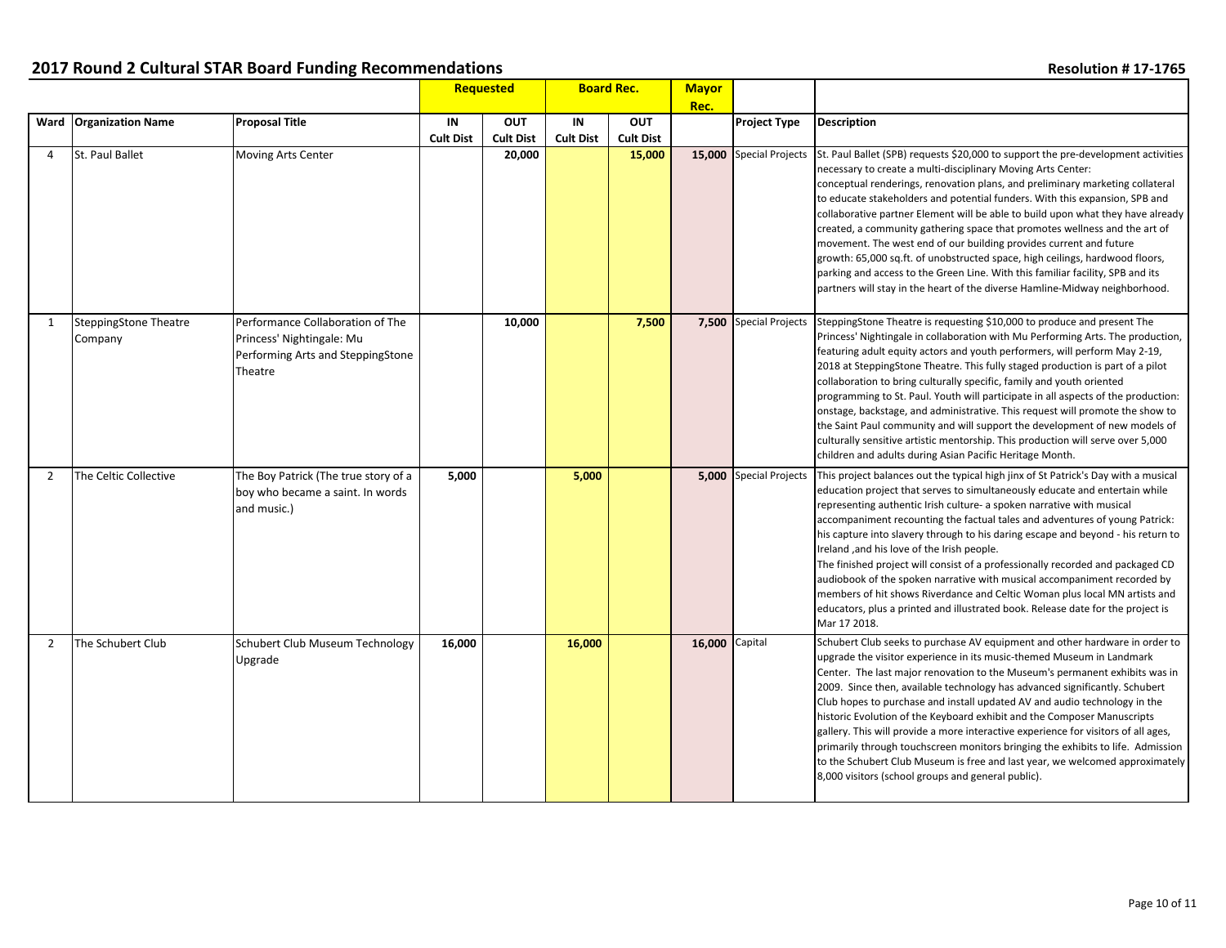|                |                                  |                                                                                                               |                        | Requested                      | <b>Board Rec.</b>      |                                | <b>Mayor</b> |                               |                                                                                                                                                                                                                                                                                                                                                                                                                                                                                                                                                                                                                                                                                                                                                                                                            |
|----------------|----------------------------------|---------------------------------------------------------------------------------------------------------------|------------------------|--------------------------------|------------------------|--------------------------------|--------------|-------------------------------|------------------------------------------------------------------------------------------------------------------------------------------------------------------------------------------------------------------------------------------------------------------------------------------------------------------------------------------------------------------------------------------------------------------------------------------------------------------------------------------------------------------------------------------------------------------------------------------------------------------------------------------------------------------------------------------------------------------------------------------------------------------------------------------------------------|
|                | Ward Organization Name           | <b>Proposal Title</b>                                                                                         | IN<br><b>Cult Dist</b> | <b>OUT</b><br><b>Cult Dist</b> | IN<br><b>Cult Dist</b> | <b>OUT</b><br><b>Cult Dist</b> | Rec.         | <b>Project Type</b>           | <b>Description</b>                                                                                                                                                                                                                                                                                                                                                                                                                                                                                                                                                                                                                                                                                                                                                                                         |
| 4              | St. Paul Ballet                  | Moving Arts Center                                                                                            |                        | 20,000                         |                        | 15,000                         |              | 15.000 Special Projects       | St. Paul Ballet (SPB) requests \$20,000 to support the pre-development activities<br>necessary to create a multi-disciplinary Moving Arts Center:<br>conceptual renderings, renovation plans, and preliminary marketing collateral<br>to educate stakeholders and potential funders. With this expansion, SPB and<br>collaborative partner Element will be able to build upon what they have already<br>created, a community gathering space that promotes wellness and the art of<br>movement. The west end of our building provides current and future<br>growth: 65,000 sq.ft. of unobstructed space, high ceilings, hardwood floors,<br>parking and access to the Green Line. With this familiar facility, SPB and its<br>partners will stay in the heart of the diverse Hamline-Midway neighborhood.  |
| 1              | SteppingStone Theatre<br>Company | Performance Collaboration of The<br>Princess' Nightingale: Mu<br>Performing Arts and SteppingStone<br>Theatre |                        | 10,000                         |                        | 7,500                          |              | 7,500 Special Projects        | SteppingStone Theatre is requesting \$10,000 to produce and present The<br>Princess' Nightingale in collaboration with Mu Performing Arts. The production,<br>featuring adult equity actors and youth performers, will perform May 2-19,<br>2018 at SteppingStone Theatre. This fully staged production is part of a pilot<br>collaboration to bring culturally specific, family and youth oriented<br>programming to St. Paul. Youth will participate in all aspects of the production:<br>onstage, backstage, and administrative. This request will promote the show to<br>the Saint Paul community and will support the development of new models of<br>culturally sensitive artistic mentorship. This production will serve over 5,000<br>children and adults during Asian Pacific Heritage Month.     |
| 2              | The Celtic Collective            | The Boy Patrick (The true story of a<br>boy who became a saint. In words<br>and music.)                       | 5,000                  |                                | 5,000                  |                                |              | <b>5,000</b> Special Projects | This project balances out the typical high jinx of St Patrick's Day with a musical<br>education project that serves to simultaneously educate and entertain while<br>representing authentic Irish culture- a spoken narrative with musical<br>accompaniment recounting the factual tales and adventures of young Patrick:<br>his capture into slavery through to his daring escape and beyond - his return to<br>Ireland, and his love of the Irish people.<br>The finished project will consist of a professionally recorded and packaged CD<br>audiobook of the spoken narrative with musical accompaniment recorded by<br>members of hit shows Riverdance and Celtic Woman plus local MN artists and<br>educators, plus a printed and illustrated book. Release date for the project is<br>Mar 17 2018. |
| $\overline{2}$ | The Schubert Club                | Schubert Club Museum Technology<br>Upgrade                                                                    | 16,000                 |                                | 16,000                 |                                | 16,000       | Capital                       | Schubert Club seeks to purchase AV equipment and other hardware in order to<br>upgrade the visitor experience in its music-themed Museum in Landmark<br>Center. The last major renovation to the Museum's permanent exhibits was in<br>2009. Since then, available technology has advanced significantly. Schubert<br>Club hopes to purchase and install updated AV and audio technology in the<br>historic Evolution of the Keyboard exhibit and the Composer Manuscripts<br>gallery. This will provide a more interactive experience for visitors of all ages,<br>primarily through touchscreen monitors bringing the exhibits to life. Admission<br>to the Schubert Club Museum is free and last year, we welcomed approximately<br>8,000 visitors (school groups and general public).                  |